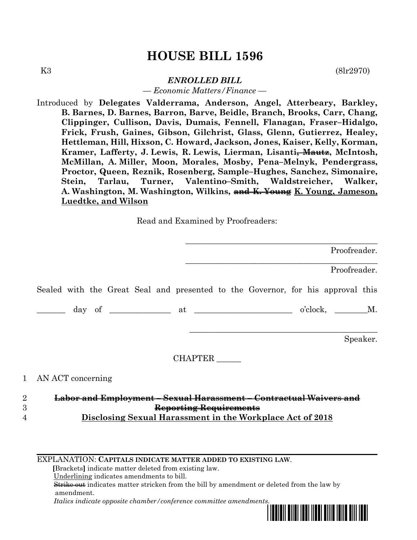# **HOUSE BILL 1596**

K3 (8lr2970)

## *ENROLLED BILL*

*— Economic Matters/Finance —*

Introduced by **Delegates Valderrama, Anderson, Angel, Atterbeary, Barkley, B. Barnes, D. Barnes, Barron, Barve, Beidle, Branch, Brooks, Carr, Chang, Clippinger, Cullison, Davis, Dumais, Fennell, Flanagan, Fraser–Hidalgo, Frick, Frush, Gaines, Gibson, Gilchrist, Glass, Glenn, Gutierrez, Healey, Hettleman, Hill, Hixson, C. Howard, Jackson, Jones, Kaiser, Kelly, Korman, Kramer, Lafferty, J. Lewis, R. Lewis, Lierman, Lisanti, Mautz, McIntosh, McMillan, A. Miller, Moon, Morales, Mosby, Pena–Melnyk, Pendergrass, Proctor, Queen, Reznik, Rosenberg, Sample–Hughes, Sanchez, Simonaire, Stein, Tarlau, Turner, Valentino–Smith, Waldstreicher, Walker, A. Washington, M. Washington, Wilkins, and K. Young K. Young, Jameson, Luedtke, and Wilson**

Read and Examined by Proofreaders:

|                | Proofreader.                                                                    |
|----------------|---------------------------------------------------------------------------------|
|                | Proofreader.                                                                    |
|                | Sealed with the Great Seal and presented to the Governor, for his approval this |
|                |                                                                                 |
|                | Speaker.                                                                        |
|                | <b>CHAPTER</b>                                                                  |
| $\mathbf{1}$   | AN ACT concerning                                                               |
| $\overline{2}$ | Labor and Employment - Sexual Harassment - Contractual Waivers an               |
| 3              | Reporting Requirements                                                          |

4 **Disclosing Sexual Harassment in the Workplace Act of 2018**

EXPLANATION: **CAPITALS INDICATE MATTER ADDED TO EXISTING LAW**.

 **[**Brackets**]** indicate matter deleted from existing law.

Underlining indicates amendments to bill.

 Strike out indicates matter stricken from the bill by amendment or deleted from the law by amendment.

 *Italics indicate opposite chamber/conference committee amendments.*

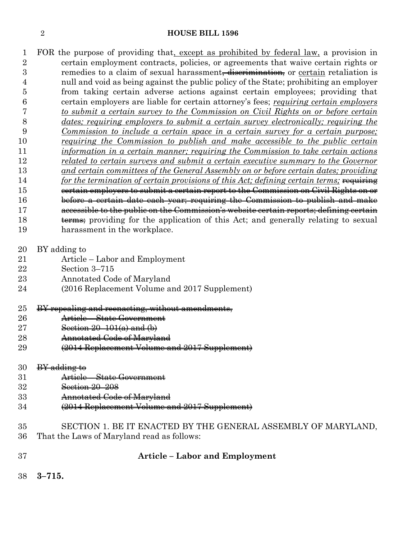#### **HOUSE BILL 1596**

- FOR the purpose of providing that, except as prohibited by federal law, a provision in certain employment contracts, policies, or agreements that waive certain rights or 3 remedies to a claim of sexual harassment<del>, discrimination,</del> or certain retaliation is null and void as being against the public policy of the State; prohibiting an employer from taking certain adverse actions against certain employees; providing that certain employers are liable for certain attorney's fees; *requiring certain employers to submit a certain survey to the Commission on Civil Rights on or before certain dates; requiring employers to submit a certain survey electronically; requiring the Commission to include a certain space in a certain survey for a certain purpose; requiring the Commission to publish and make accessible to the public certain information in a certain manner; requiring the Commission to take certain actions related to certain surveys and submit a certain executive summary to the Governor and certain committees of the General Assembly on or before certain dates; providing for the termination of certain provisions of this Act; defining certain terms;* requiring certain employers to submit a certain report to the Commission on Civil Rights on or before a certain date each year; requiring the Commission to publish and make accessible to the public on the Commission's website certain reports; defining certain 18 t<del>erms;</del> providing for the application of this Act; and generally relating to sexual harassment in the workplace.
- BY adding to
- Article Labor and Employment
- Section 3–715
- Annotated Code of Maryland
- (2016 Replacement Volume and 2017 Supplement)

## BY repealing and reenacting, without amendments,

- Article State Government
- **Section 20–101(a) and (b)**
- Annotated Code of Maryland
- (2014 Replacement Volume and 2017 Supplement)

| 30<br>مع و و زمانه م<br>$a$ uune |
|----------------------------------|
|----------------------------------|

- Article State Government
- Section 20–208
- Annotated Code of Maryland
- (2014 Replacement Volume and 2017 Supplement)
- SECTION 1. BE IT ENACTED BY THE GENERAL ASSEMBLY OF MARYLAND, That the Laws of Maryland read as follows:

| 37 | <b>Article - Labor and Employment</b> |
|----|---------------------------------------|
|    |                                       |

**3–715.**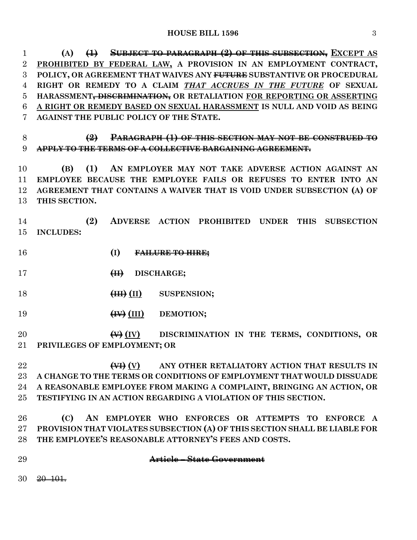**(A) (1) SUBJECT TO PARAGRAPH (2) OF THIS SUBSECTION, EXCEPT AS PROHIBITED BY FEDERAL LAW, A PROVISION IN AN EMPLOYMENT CONTRACT, POLICY, OR AGREEMENT THAT WAIVES ANY FUTURE SUBSTANTIVE OR PROCEDURAL RIGHT OR REMEDY TO A CLAIM** *THAT ACCRUES IN THE FUTURE* **OF SEXUAL HARASSMENT, DISCRIMINATION, OR RETALIATION FOR REPORTING OR ASSERTING A RIGHT OR REMEDY BASED ON SEXUAL HARASSMENT IS NULL AND VOID AS BEING AGAINST THE PUBLIC POLICY OF THE STATE.**

 **(2) PARAGRAPH (1) OF THIS SECTION MAY NOT BE CONSTRUED TO APPLY TO THE TERMS OF A COLLECTIVE BARGAINING AGREEMENT.**

 **(B) (1) AN EMPLOYER MAY NOT TAKE ADVERSE ACTION AGAINST AN EMPLOYEE BECAUSE THE EMPLOYEE FAILS OR REFUSES TO ENTER INTO AN AGREEMENT THAT CONTAINS A WAIVER THAT IS VOID UNDER SUBSECTION (A) OF THIS SECTION.**

 **(2) ADVERSE ACTION PROHIBITED UNDER THIS SUBSECTION INCLUDES:**

- **(I) FAILURE TO HIRE;**
- **(II) DISCHARGE;**
- **(III) (II) SUSPENSION;**
- **(IV) (III) DEMOTION;**

 **(V) (IV) DISCRIMINATION IN THE TERMS, CONDITIONS, OR PRIVILEGES OF EMPLOYMENT; OR**

 **(VI) (V) ANY OTHER RETALIATORY ACTION THAT RESULTS IN A CHANGE TO THE TERMS OR CONDITIONS OF EMPLOYMENT THAT WOULD DISSUADE A REASONABLE EMPLOYEE FROM MAKING A COMPLAINT, BRINGING AN ACTION, OR TESTIFYING IN AN ACTION REGARDING A VIOLATION OF THIS SECTION.**

 **(C) AN EMPLOYER WHO ENFORCES OR ATTEMPTS TO ENFORCE A PROVISION THAT VIOLATES SUBSECTION (A) OF THIS SECTION SHALL BE LIABLE FOR THE EMPLOYEE'S REASONABLE ATTORNEY'S FEES AND COSTS.**

- 
- **Article – State Government**

20–101.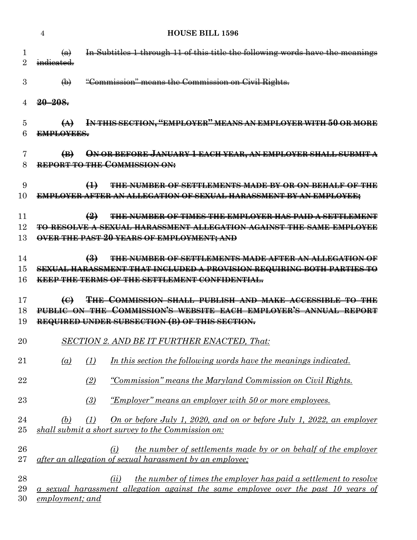|                | 4                                      |                  | <b>HOUSE BILL 1596</b>                                                                                                                                                                   |
|----------------|----------------------------------------|------------------|------------------------------------------------------------------------------------------------------------------------------------------------------------------------------------------|
| 1<br>2         | $\left( a\right)$<br>indicated.        |                  | In Subtitles 1 through 11 of this title the following words have the meanings                                                                                                            |
| 3              | $\bigoplus$                            |                  | "Commission" means the Commission on Civil Rights.                                                                                                                                       |
|                | $20 - 208.$                            |                  |                                                                                                                                                                                          |
| 5<br>6         | $\leftrightarrow$<br><b>EMPLOYEES.</b> |                  | IN THIS SECTION, "EMPLOYER" MEANS AN EMPLOYER WITH 50 OR MORE                                                                                                                            |
| 7<br>8         | $\bigoplus$                            |                  | ON OR BEFORE JANUARY 1 EACH YEAR, AN EMPLOYER SHALL SUBMIT A<br><b>REPORT TO THE COMMISSION ON:</b>                                                                                      |
| 9<br>10        |                                        | $\bigoplus$      | THE NUMBER OF SETTLEMENTS MADE BY OR ON BEHALF OF THE<br><b>EMPLOYER AFTER AN ALLEGATION OF SEXUAL HARASSMENT BY AN EMPLOYEE;</b>                                                        |
| 11<br>12<br>13 |                                        | $\left(2\right)$ | <b>THE NUMBER OF TIMES THE EMPLOYER HAS PAID A SETTLEMENT</b><br>TO RESOLVE A SEXUAL HARASSMENT ALLEGATION AGAINST THE SAME EMPLOYEE<br><b>OVER THE PAST 20 YEARS OF EMPLOYMENT; AND</b> |
| 14<br>15<br>16 |                                        | $\bigoplus$      | THE NUMBER OF SETTLEMENTS MADE AFTER AN ALLEGATION OF<br><b>SEXUAL HARASSMENT THAT INCLUDED A PROVISION REQUIRING BOTH PARTIES TO</b><br>KEEP THE TERMS OF THE SETTLEMENT CONFIDENTIAL.  |
| 17             | $\bigoplus$                            |                  | <b>THE COMMISSION SHALL PUBLISH AND MAKE ACCESSIBLE TO THE</b><br>PUBLIC ON THE COMMISSION'S WEBSITE FACH EMPLOYER'S ANNUAL REPORT                                                       |
| 18<br>19       |                                        |                  | REQUIRED UNDER SUBSECTION (B) OF THIS SECTION.                                                                                                                                           |
| 20             |                                        |                  | <b>SECTION 2. AND BE IT FURTHER ENACTED, That:</b>                                                                                                                                       |
| 21             | (a)                                    | (1)              | In this section the following words have the meanings indicated.                                                                                                                         |
| 22             |                                        | (2)              | "Commission" means the Maryland Commission on Civil Rights.                                                                                                                              |
|                |                                        |                  |                                                                                                                                                                                          |
| 23             |                                        | (3)              | <u>"Employer" means an employer with 50 or more employees.</u>                                                                                                                           |
| 24<br>25       | (b)                                    | (1)              | <u>On or before July 1, 2020, and on or before July 1, 2022, an employer</u><br>shall submit a short survey to the Commission on:                                                        |
| 26<br>27       |                                        |                  | <i>the number of settlements made by or on behalf of the employer</i><br>(i)<br>after an allegation of sexual harassment by an employee;                                                 |